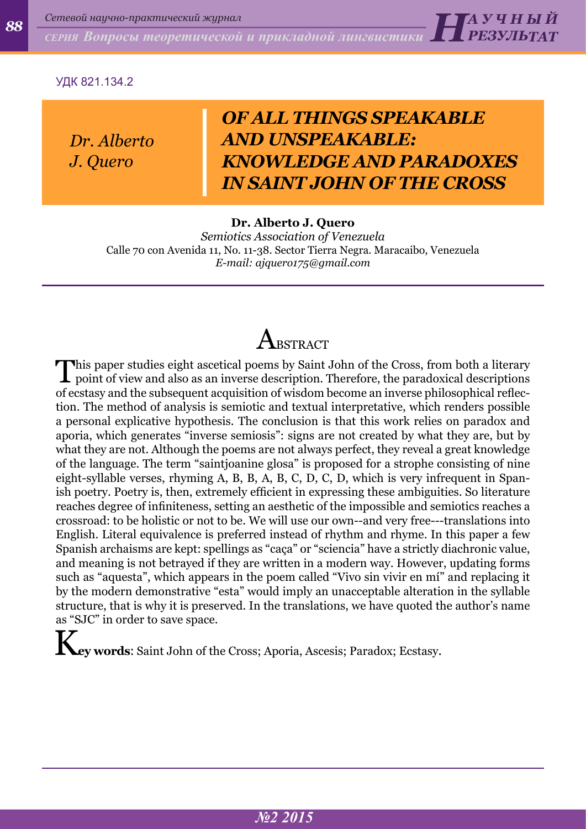*СЕРИЯ Вопросы теоретической и прикладной лингвистики*

УДК 821.134.2

*Dr. Alberto J. Quero*

# *OF ALL THINGS SPEAKABLE AND UNSPEAKABLE: KNOWLEDGE AND PARADOXES IN SAINT JOHN OF THE CROSS*

*Н А <sup>У</sup> Ч Н Ы Й РЕЗУЛЬТАТ*

#### **Dr. Alberto J. Quero**

*Semiotics Association of Venezuela* Calle 70 con Avenida 11, No. 11-38. Sector Tierra Negra. Maracaibo, Venezuela *E-mail: [ajquero175@gmail.com](mailto:ajquero175@gmail.com)*

# ${\mathbf A}_{\text{BSTRACT}}$

This paper studies eight ascetical poems by Saint John of the Cross, from both a literary point of view and also as an inverse description. Therefore, the paradoxical descriptions of ecstasy and the subsequent acquisition of wisdom become an inverse philosophical reflection. The method of analysis is semiotic and textual interpretative, which renders possible a personal explicative hypothesis. The conclusion is that this work relies on paradox and aporia, which generates "inverse semiosis": signs are not created by what they are, but by what they are not. Although the poems are not always perfect, they reveal a great knowledge of the language. The term "saintjoanine glosa" is proposed for a strophe consisting of nine eight-syllable verses, rhyming A, B, B, A, B, C, D, C, D, which is very infrequent in Spanish poetry. Poetry is, then, extremely efficient in expressing these ambiguities. So literature reaches degree of infiniteness, setting an aesthetic of the impossible and semiotics reaches a crossroad: to be holistic or not to be. We will use our own--and very free---translations into English. Literal equivalence is preferred instead of rhythm and rhyme. In this paper a few Spanish archaisms are kept: spellings as "caça" or "sciencia" have a strictly diachronic value, and meaning is not betrayed if they are written in a modern way. However, updating forms such as "aquesta", which appears in the poem called "Vivo sin vivir en mí" and replacing it by the modern demonstrative "esta" would imply an unacceptable alteration in the syllable structure, that is why it is preserved. In the translations, we have quoted the author's name as "SJC" in order to save space.

K**ey words**: Saint John of the Cross; Aporia, Ascesis; Paradox; Ecstasy.

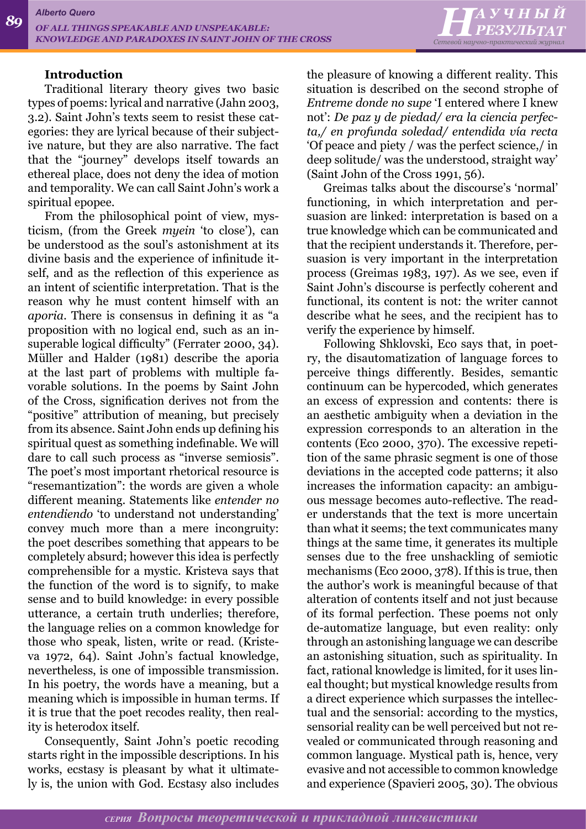# **Introduction**

*Alberto Quero*

Traditional literary theory gives two basic types of poems: lyrical and narrative (Jahn 2003, 3.2). Saint John's texts seem to resist these categories: they are lyrical because of their subjective nature, but they are also narrative. The fact that the "journey" develops itself towards an ethereal place, does not deny the idea of motion and temporality. We can call Saint John's work a spiritual epopee.

From the philosophical point of view, mysticism, (from the Greek *myein* 'to close'), can be understood as the soul's astonishment at its divine basis and the experience of infinitude itself, and as the reflection of this experience as an intent of scientific interpretation. That is the reason why he must content himself with an *aporia*. There is consensus in defining it as "a proposition with no logical end, such as an insuperable logical difficulty" (Ferrater 2000, 34). Müller and Halder (1981) describe the aporia at the last part of problems with multiple favorable solutions. In the poems by Saint John of the Cross, signification derives not from the "positive" attribution of meaning, but precisely from its absence. Saint John ends up defining his spiritual quest as something indefinable. We will dare to call such process as "inverse semiosis". The poet's most important rhetorical resource is "resemantization": the words are given a whole different meaning. Statements like *entender no entendiendo* 'to understand not understanding' convey much more than a mere incongruity: the poet describes something that appears to be completely absurd; however this idea is perfectly comprehensible for a mystic. Kristeva says that the function of the word is to signify, to make sense and to build knowledge: in every possible utterance, a certain truth underlies; therefore, the language relies on a common knowledge for those who speak, listen, write or read. (Kristeva 1972, 64). Saint John's factual knowledge, nevertheless, is one of impossible transmission. In his poetry, the words have a meaning, but a meaning which is impossible in human terms. If it is true that the poet recodes reality, then reality is heterodox itself.

Consequently, Saint John's poetic recoding starts right in the impossible descriptions. In his works, ecstasy is pleasant by what it ultimately is, the union with God. Ecstasy also includes the pleasure of knowing a different reality. This situation is described on the second strophe of *Entreme donde no supe* 'I entered where I knew not': *De paz y de piedad/ era la ciencia perfecta,/ en profunda soledad/ entendida vía recta* 'Of peace and piety / was the perfect science,/ in deep solitude/ was the understood, straight way' (Saint John of the Cross 1991, 56).

Greimas talks about the discourse's 'normal' functioning, in which interpretation and persuasion are linked: interpretation is based on a true knowledge which can be communicated and that the recipient understands it. Therefore, persuasion is very important in the interpretation process (Greimas 1983, 197). As we see, even if Saint John's discourse is perfectly coherent and functional, its content is not: the writer cannot describe what he sees, and the recipient has to verify the experience by himself.

Following Shklovski, Eco says that, in poetry, the disautomatization of language forces to perceive things differently. Besides, semantic continuum can be hypercoded, which generates an excess of expression and contents: there is an aesthetic ambiguity when a deviation in the expression corresponds to an alteration in the contents (Eco 2000, 370). The excessive repetition of the same phrasic segment is one of those deviations in the accepted code patterns; it also increases the information capacity: an ambiguous message becomes auto-reflective. The reader understands that the text is more uncertain than what it seems; the text communicates many things at the same time, it generates its multiple senses due to the free unshackling of semiotic mechanisms (Eco 2000, 378). If this is true, then the author's work is meaningful because of that alteration of contents itself and not just because of its formal perfection. These poems not only de-automatize language, but even reality: only through an astonishing language we can describe an astonishing situation, such as spirituality. In fact, rational knowledge is limited, for it uses lineal thought; but mystical knowledge results from a direct experience which surpasses the intellectual and the sensorial: according to the mystics, sensorial reality can be well perceived but not revealed or communicated through reasoning and common language. Mystical path is, hence, very evasive and not accessible to common knowledge and experience (Spavieri 2005, 30). The obvious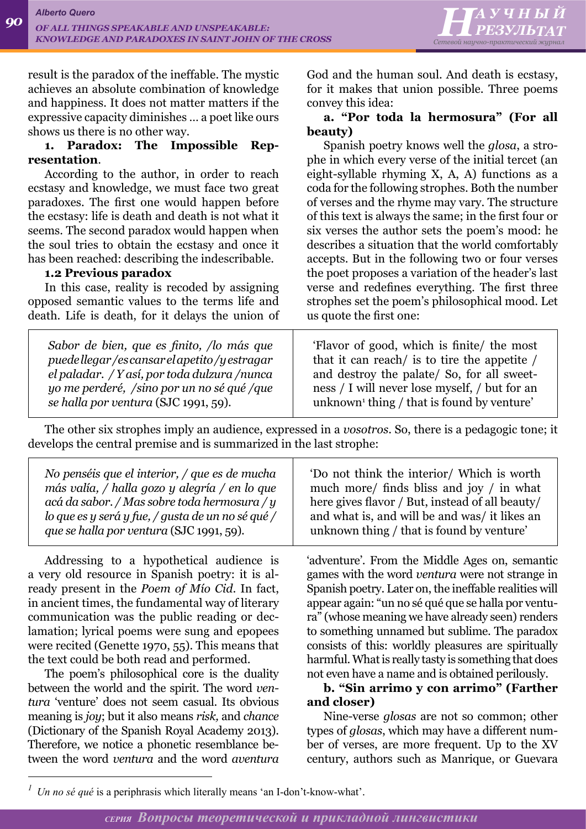

result is the paradox of the ineffable. The mystic achieves an absolute combination of knowledge and happiness. It does not matter matters if the expressive capacity diminishes … a poet like ours shows us there is no other way.

### 1. Paradox: The Impossible Rep**resentation**.

According to the author, in order to reach ecstasy and knowledge, we must face two great paradoxes. The first one would happen before the ecstasy: life is death and death is not what it seems. The second paradox would happen when the soul tries to obtain the ecstasy and once it has been reached: describing the indescribable.

#### **1.2 Previous paradox**

In this case, reality is recoded by assigning opposed semantic values to the terms life and death. Life is death, for it delays the union of God and the human soul. And death is ecstasy, for it makes that union possible. Three poems convey this idea:

### **a. "Por toda la hermosura" (For all beauty)**

Spanish poetry knows well the *glosa*, a strophe in which every verse of the initial tercet (an eight-syllable rhyming X, A, A) functions as a coda for the following strophes. Both the number of verses and the rhyme may vary. The structure of this text is always the same; in the first four or six verses the author sets the poem's mood: he describes a situation that the world comfortably accepts. But in the following two or four verses the poet proposes a variation of the header's last verse and redefines everything. The first three strophes set the poem's philosophical mood. Let us quote the first one:

| Sabor de bien, que es finito, /lo más que     | 'Flavor of good, which is finite/ the most             |
|-----------------------------------------------|--------------------------------------------------------|
| puedellegar/escansarelapetito/yestragar       | that it can reach/ is to tire the appetite /           |
| el paladar. / Y así, por toda dulzura / nunca | and destroy the palate/ So, for all sweet-             |
| yo me perderé, /sino por un no sé qué /que    | ness / I will never lose myself, / but for an          |
| se halla por ventura (SJC 1991, 59).          | unknown <sup>1</sup> thing / that is found by venture' |

The other six strophes imply an audience, expressed in a *vosotros*. So, there is a pedagogic tone; it develops the central premise and is summarized in the last strophe:

Addressing to a hypothetical audience is a very old resource in Spanish poetry: it is already present in the *Poem of Mío Cid*. In fact, in ancient times, the fundamental way of literary communication was the public reading or declamation; lyrical poems were sung and epopees were recited (Genette 1970, 55). This means that the text could be both read and performed.

The poem's philosophical core is the duality between the world and the spirit. The word *ventura* 'venture' does not seem casual. Its obvious meaning is *joy*; but it also means *risk,* and *chance* (Dictionary of the Spanish Royal Academy 2013). Therefore, we notice a phonetic resemblance between the word *ventura* and the word *aventura*

'adventure'. From the Middle Ages on, semantic games with the word *ventura* were not strange in Spanish poetry. Later on, the ineffable realities will appear again: "un no sé qué que se halla por ventura" (whose meaning we have already seen) renders to something unnamed but sublime. The paradox consists of this: worldly pleasures are spiritually harmful. What is really tasty is something that does not even have a name and is obtained perilously.

### **b. "Sin arrimo y con arrimo" (Farther and closer)**

Nine-verse *glosas* are not so common; other types of *glosas*, which may have a different number of verses, are more frequent. Up to the XV century, authors such as Manrique, or Guevara

*<sup>1</sup> Un no sé qué* is a periphrasis which literally means 'an I-don't-know-what'.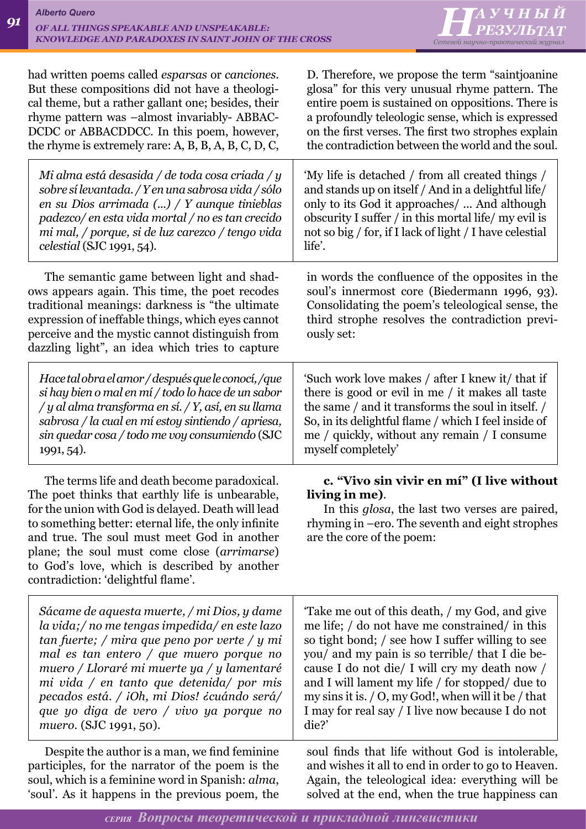

| had written poems called esparsas or canciones.                                                                                                                                                                                                                                                                                                                                                    | D. Therefore, we propose the term "saintjoanine"                                                                                                                                                                     |
|----------------------------------------------------------------------------------------------------------------------------------------------------------------------------------------------------------------------------------------------------------------------------------------------------------------------------------------------------------------------------------------------------|----------------------------------------------------------------------------------------------------------------------------------------------------------------------------------------------------------------------|
| But these compositions did not have a theologi-                                                                                                                                                                                                                                                                                                                                                    | glosa" for this very unusual rhyme pattern. The                                                                                                                                                                      |
| cal theme, but a rather gallant one; besides, their                                                                                                                                                                                                                                                                                                                                                | entire poem is sustained on oppositions. There is                                                                                                                                                                    |
| rhyme pattern was -almost invariably- ABBAC-                                                                                                                                                                                                                                                                                                                                                       | a profoundly teleologic sense, which is expressed                                                                                                                                                                    |
| DCDC or ABBACDDCC. In this poem, however,                                                                                                                                                                                                                                                                                                                                                          | on the first verses. The first two strophes explain                                                                                                                                                                  |
| the rhyme is extremely rare: A, B, B, A, B, C, D, C,                                                                                                                                                                                                                                                                                                                                               | the contradiction between the world and the soul.                                                                                                                                                                    |
| Mi alma está desasida / de toda cosa criada / y                                                                                                                                                                                                                                                                                                                                                    | 'My life is detached / from all created things /                                                                                                                                                                     |
| sobre sí levantada. / Y en una sabrosa vida / sólo                                                                                                                                                                                                                                                                                                                                                 | and stands up on itself / And in a delightful life/                                                                                                                                                                  |
| en su Dios arrimada $() / Y$ aunque tinieblas                                                                                                                                                                                                                                                                                                                                                      | only to its God it approaches/  And although                                                                                                                                                                         |
| padezco/ en esta vida mortal / no es tan crecido                                                                                                                                                                                                                                                                                                                                                   | obscurity I suffer / in this mortal life/ my evil is                                                                                                                                                                 |
| mi mal, / porque, si de luz carezco / tengo vida                                                                                                                                                                                                                                                                                                                                                   | not so big / for, if I lack of light / I have celestial                                                                                                                                                              |
| celestial (SJC 1991, 54).                                                                                                                                                                                                                                                                                                                                                                          | life'.                                                                                                                                                                                                               |
| The semantic game between light and shad-<br>ows appears again. This time, the poet recodes<br>traditional meanings: darkness is "the ultimate<br>expression of ineffable things, which eyes cannot<br>perceive and the mystic cannot distinguish from<br>dazzling light", an idea which tries to capture                                                                                          | in words the confluence of the opposites in the<br>soul's innermost core (Biedermann 1996, 93).<br>Consolidating the poem's teleological sense, the<br>third strophe resolves the contradiction previ-<br>ously set: |
| Hace tal obra el amor / después que le conocí, / que                                                                                                                                                                                                                                                                                                                                               | 'Such work love makes / after I knew it/ that if                                                                                                                                                                     |
| si hay bien o mal en mí / todo lo hace de un sabor                                                                                                                                                                                                                                                                                                                                                 | there is good or evil in me / it makes all taste                                                                                                                                                                     |
| / y al alma transforma en sí. / Y, así, en su llama                                                                                                                                                                                                                                                                                                                                                | the same / and it transforms the soul in itself. /                                                                                                                                                                   |
| sabrosa / la cual en mí estoy sintiendo / apriesa,                                                                                                                                                                                                                                                                                                                                                 | So, in its delightful flame / which I feel inside of                                                                                                                                                                 |
| sin quedar cosa / todo me voy consumiendo (SJC                                                                                                                                                                                                                                                                                                                                                     | me / quickly, without any remain / I consume                                                                                                                                                                         |
| $1991, 54$ ).                                                                                                                                                                                                                                                                                                                                                                                      | myself completely'                                                                                                                                                                                                   |
| The terms life and death become paradoxical.<br>The poet thinks that earthly life is unbearable,<br>for the union with God is delayed. Death will lead<br>to something better: eternal life, the only infinite<br>and true. The soul must meet God in another<br>plane; the soul must come close (arrimarse)<br>to God's love, which is described by another<br>contradiction: 'delightful flame'. | c. "Vivo sin vivir en mí" (I live without<br>living in me).<br>In this <i>glosa</i> , the last two verses are paired,<br>rhyming in -ero. The seventh and eight strophes<br>are the core of the poem:                |
| Sácame de aquesta muerte, / mi Dios, y dame                                                                                                                                                                                                                                                                                                                                                        | 'Take me out of this death, / my God, and give                                                                                                                                                                       |
| la vida;/ no me tengas impedida/ en este lazo                                                                                                                                                                                                                                                                                                                                                      | me life; / do not have me constrained/ in this                                                                                                                                                                       |
| tan fuerte; / mira que peno por verte / y mi                                                                                                                                                                                                                                                                                                                                                       | so tight bond; / see how I suffer willing to see                                                                                                                                                                     |
| mal es tan entero / que muero porque no                                                                                                                                                                                                                                                                                                                                                            | you/ and my pain is so terrible/ that I die be-                                                                                                                                                                      |
| muero / Lloraré mi muerte ya / y lamentaré                                                                                                                                                                                                                                                                                                                                                         | cause I do not die/ I will cry my death now /                                                                                                                                                                        |
| mi vida / en tanto que detenida/ por mis                                                                                                                                                                                                                                                                                                                                                           | and I will lament my life / for stopped/ due to                                                                                                                                                                      |
| pecados está. / iOh, mi Dios! ¿cuándo será/                                                                                                                                                                                                                                                                                                                                                        | my sins it is. $/ O$ , my God!, when will it be $/$ that                                                                                                                                                             |
| que yo diga de vero / vivo ya porque no                                                                                                                                                                                                                                                                                                                                                            | I may for real say / I live now because I do not                                                                                                                                                                     |
| muero. (SJC 1991, 50).                                                                                                                                                                                                                                                                                                                                                                             | die?'                                                                                                                                                                                                                |
| Despite the author is a man, we find feminine                                                                                                                                                                                                                                                                                                                                                      | soul finds that life without God is intolerable,                                                                                                                                                                     |
| participles, for the narrator of the poem is the                                                                                                                                                                                                                                                                                                                                                   | and wishes it all to end in order to go to Heaven.                                                                                                                                                                   |
| soul, which is a feminine word in Spanish: alma,                                                                                                                                                                                                                                                                                                                                                   | Again, the teleological idea: everything will be                                                                                                                                                                     |
| 'soul'. As it happens in the previous poem, the                                                                                                                                                                                                                                                                                                                                                    | solved at the end, when the true happiness can                                                                                                                                                                       |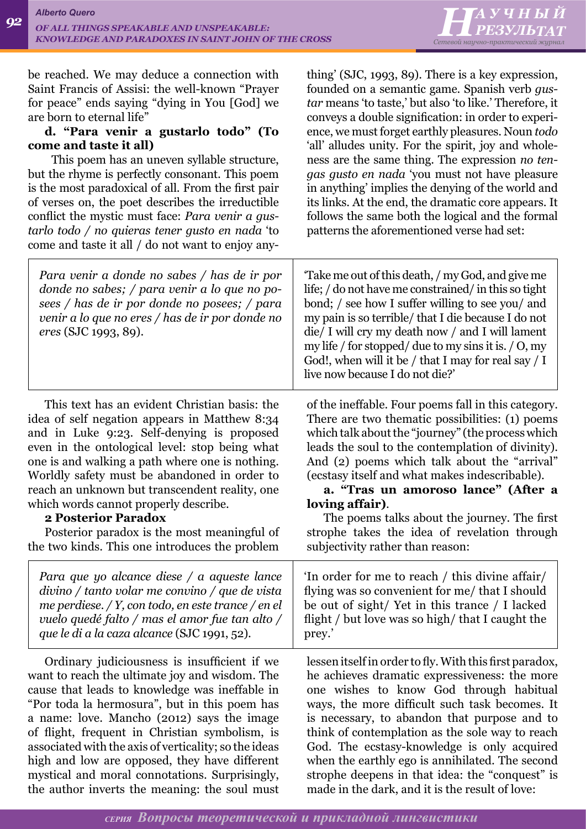

be reached. We may deduce a connection with Saint Francis of Assisi: the well-known "Prayer for peace" ends saying "dying in You [God] we are born to eternal life"

## **d. "Para venir a gustarlo todo" (To come and taste it all)**

 This poem has an uneven syllable structure, but the rhyme is perfectly consonant. This poem is the most paradoxical of all. From the first pair of verses on, the poet describes the irreductible conflict the mystic must face: *Para venir a gustarlo todo / no quieras tener gusto en nada* 'to come and taste it all / do not want to enjoy anything' (SJC, 1993, 89). There is a key expression, founded on a semantic game. Spanish verb *gustar* means 'to taste,' but also 'to like.' Therefore, it conveys a double signification: in order to experience, we must forget earthly pleasures. Noun *todo* 'all' alludes unity. For the spirit, joy and wholeness are the same thing. The expression *no tengas gusto en nada* 'you must not have pleasure in anything' implies the denying of the world and its links. At the end, the dramatic core appears. It follows the same both the logical and the formal patterns the aforementioned verse had set:

| Para venir a donde no sabes / has de ir por<br>donde no sabes; / para venir a lo que no po-<br>sees / has de ir por donde no posees; / para<br>venir a lo que no eres / has de ir por donde no<br>eres (SJC 1993, 89). | 'Take me out of this death, / my God, and give me<br>life; / do not have me constrained/ in this so tight<br>bond; / see how I suffer willing to see you/ and<br>my pain is so terrible/ that I die because I do not<br>die/ I will cry my death now / and I will lament<br>my life / for stopped/ due to my sins it is. / O, my<br>God!, when will it be / that I may for real say / I<br>live now because I do not die?' |
|------------------------------------------------------------------------------------------------------------------------------------------------------------------------------------------------------------------------|----------------------------------------------------------------------------------------------------------------------------------------------------------------------------------------------------------------------------------------------------------------------------------------------------------------------------------------------------------------------------------------------------------------------------|
| This text has an evident Christian basis: the                                                                                                                                                                          | of the ineffable. Four poems fall in this category.                                                                                                                                                                                                                                                                                                                                                                        |
| idea of self negation appears in Matthew 8:34                                                                                                                                                                          | There are two thematic possibilities: (1) poems                                                                                                                                                                                                                                                                                                                                                                            |
| and in Luke 9:23. Self-denying is proposed                                                                                                                                                                             | which talk about the "journey" (the process which                                                                                                                                                                                                                                                                                                                                                                          |
| even in the ontological level: stop being what                                                                                                                                                                         | leads the soul to the contemplation of divinity).                                                                                                                                                                                                                                                                                                                                                                          |
| one is and walking a path where one is nothing.                                                                                                                                                                        | And (2) poems which talk about the "arrival"                                                                                                                                                                                                                                                                                                                                                                               |
| Worldly safety must be abandoned in order to                                                                                                                                                                           | (ecstasy itself and what makes indescribable).                                                                                                                                                                                                                                                                                                                                                                             |
| reach an unknown but transcendent reality, one                                                                                                                                                                         | a. "Tras un amoroso lance" (After a                                                                                                                                                                                                                                                                                                                                                                                        |
| which words cannot properly describe.                                                                                                                                                                                  | loving affair).                                                                                                                                                                                                                                                                                                                                                                                                            |
| 2 Posterior Paradox                                                                                                                                                                                                    | The poems talks about the journey. The first                                                                                                                                                                                                                                                                                                                                                                               |
| Posterior paradox is the most meaningful of                                                                                                                                                                            | strophe takes the idea of revelation through                                                                                                                                                                                                                                                                                                                                                                               |
| the two kinds. This one introduces the problem                                                                                                                                                                         | subjectivity rather than reason:                                                                                                                                                                                                                                                                                                                                                                                           |
| Para que yo alcance diese / a aqueste lance                                                                                                                                                                            | 'In order for me to reach / this divine affair/                                                                                                                                                                                                                                                                                                                                                                            |
| divino / tanto volar me convino / que de vista                                                                                                                                                                         | flying was so convenient for me/ that I should                                                                                                                                                                                                                                                                                                                                                                             |
| me perdiese. $/Y$ , con todo, en este trance / en el                                                                                                                                                                   | be out of sight/ Yet in this trance / I lacked                                                                                                                                                                                                                                                                                                                                                                             |
| vuelo quedé falto / mas el amor fue tan alto /                                                                                                                                                                         | flight / but love was so high / that I caught the                                                                                                                                                                                                                                                                                                                                                                          |
| que le di a la caza alcance (SJC 1991, 52).                                                                                                                                                                            | prey.'                                                                                                                                                                                                                                                                                                                                                                                                                     |
| Ordinary judiciousness is insufficient if we                                                                                                                                                                           | lessen itself in order to fly. With this first paradox,                                                                                                                                                                                                                                                                                                                                                                    |
| want to reach the ultimate joy and wisdom. The                                                                                                                                                                         | he achieves dramatic expressiveness: the more                                                                                                                                                                                                                                                                                                                                                                              |
| cause that leads to knowledge was ineffable in                                                                                                                                                                         | one wishes to know God through habitual                                                                                                                                                                                                                                                                                                                                                                                    |
| 'Por toda la hermosura", but in this poem has                                                                                                                                                                          | ways, the more difficult such task becomes. It                                                                                                                                                                                                                                                                                                                                                                             |
| a name: love. Mancho (2012) says the image                                                                                                                                                                             | is necessary, to abandon that purpose and to                                                                                                                                                                                                                                                                                                                                                                               |
| of flight, frequent in Christian symbolism, is                                                                                                                                                                         | think of contemplation as the sole way to reach                                                                                                                                                                                                                                                                                                                                                                            |
| associated with the axis of verticality; so the ideas                                                                                                                                                                  | God. The ecstasy-knowledge is only acquired                                                                                                                                                                                                                                                                                                                                                                                |
| high and low are opposed, they have different                                                                                                                                                                          | when the earthly ego is annihilated. The second                                                                                                                                                                                                                                                                                                                                                                            |
| mystical and moral connotations. Surprisingly,                                                                                                                                                                         | strophe deepens in that idea: the "conquest" is                                                                                                                                                                                                                                                                                                                                                                            |
| the author inverts the meaning: the soul must                                                                                                                                                                          | made in the dark, and it is the result of love:                                                                                                                                                                                                                                                                                                                                                                            |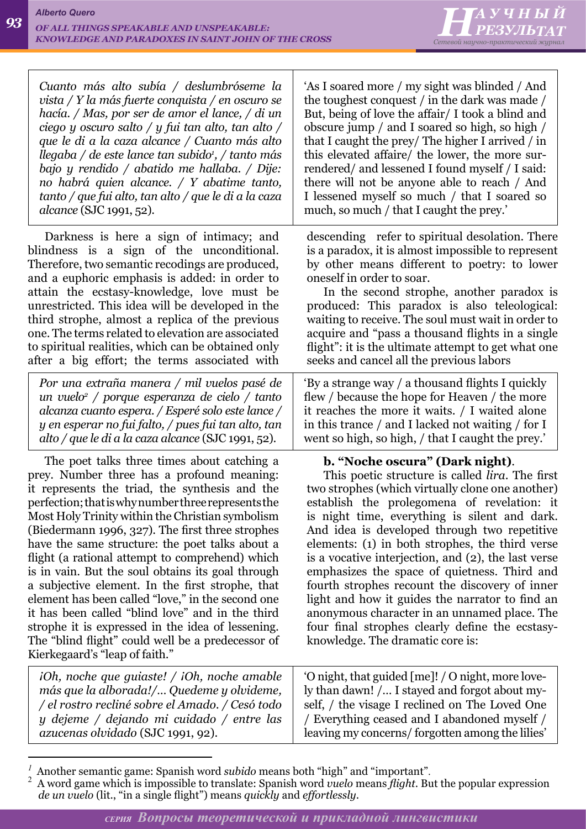

*Cuanto más alto subía / deslumbróseme la vista / Y la más fuerte conquista / en oscuro se hacía. / Mas, por ser de amor el lance, / di un ciego y oscuro salto / y fui tan alto, tan alto / que le di a la caza alcance / Cuanto más alto llegaba / de este lance tan subido<sup>1</sup> , / tanto más bajo y rendido / abatido me hallaba. / Dije: no habrá quien alcance. / Y abatime tanto, tanto / que fui alto, tan alto / que le di a la caza alcance* (SJC 1991, 52).

Darkness is here a sign of intimacy; and blindness is a sign of the unconditional. Therefore, two semantic recodings are produced, and a euphoric emphasis is added: in order to attain the ecstasy-knowledge, love must be unrestricted. This idea will be developed in the third strophe, almost a replica of the previous one. The terms related to elevation are associated to spiritual realities, which can be obtained only after a big effort; the terms associated with

*Por una extraña manera / mil vuelos pasé de un vuelo2 / porque esperanza de cielo / tanto alcanza cuanto espera. / Esperé solo este lance / y en esperar no fui falto, / pues fui tan alto, tan alto / que le di a la caza alcance* (SJC 1991, 52).

The poet talks three times about catching a prey. Number three has a profound meaning: it represents the triad, the synthesis and the perfection; that is why number three represents the Most Holy Trinity within the Christian symbolism (Biedermann 1996, 327). The first three strophes have the same structure: the poet talks about a flight (a rational attempt to comprehend) which is in vain. But the soul obtains its goal through a subjective element. In the first strophe, that element has been called "love," in the second one it has been called "blind love" and in the third strophe it is expressed in the idea of lessening. The "blind flight" could well be a predecessor of Kierkegaard's "leap of faith."

'As I soared more / my sight was blinded / And the toughest conquest / in the dark was made / But, being of love the affair/ I took a blind and obscure jump / and I soared so high, so high / that I caught the prey/ The higher I arrived / in this elevated affaire/ the lower, the more surrendered/ and lessened I found myself / I said: there will not be anyone able to reach / And I lessened myself so much / that I soared so much, so much / that I caught the prey.'

descending refer to spiritual desolation. There is a paradox, it is almost impossible to represent by other means different to poetry: to lower oneself in order to soar.

In the second strophe, another paradox is produced: This paradox is also teleological: waiting to receive. The soul must wait in order to acquire and "pass a thousand flights in a single flight": it is the ultimate attempt to get what one seeks and cancel all the previous labors

'By a strange way / a thousand flights I quickly flew / because the hope for Heaven / the more it reaches the more it waits. / I waited alone in this trance / and I lacked not waiting / for I went so high, so high, / that I caught the prey.'

#### **b. "Noche oscura" (Dark night)**.

This poetic structure is called *lira*. The first two strophes (which virtually clone one another) establish the prolegomena of revelation: it is night time, everything is silent and dark. And idea is developed through two repetitive elements: (1) in both strophes, the third verse is a vocative interjection, and (2), the last verse emphasizes the space of quietness. Third and fourth strophes recount the discovery of inner light and how it guides the narrator to find an anonymous character in an unnamed place. The four final strophes clearly define the ecstasyknowledge. The dramatic core is:

*¡Oh, noche que guiaste! / ¡Oh, noche amable más que la alborada!/… Quedeme y olvideme, / el rostro recliné sobre el Amado. / Cesó todo y dejeme / dejando mi cuidado / entre las azucenas olvidado* (SJC 1991, 92). 'O night, that guided [me]! / O night, more lovely than dawn! /… I stayed and forgot about myself, / the visage I reclined on The Loved One / Everything ceased and I abandoned myself / leaving my concerns/ forgotten among the lilies'

Another semantic game: Spanish word *subido* means both "high" and "important".

A word game which is impossible to translate: Spanish word *vuelo* means *flight*. But the popular expression *de un vuelo* (lit., "in a single flight") means *quickly* and *effortlessly*.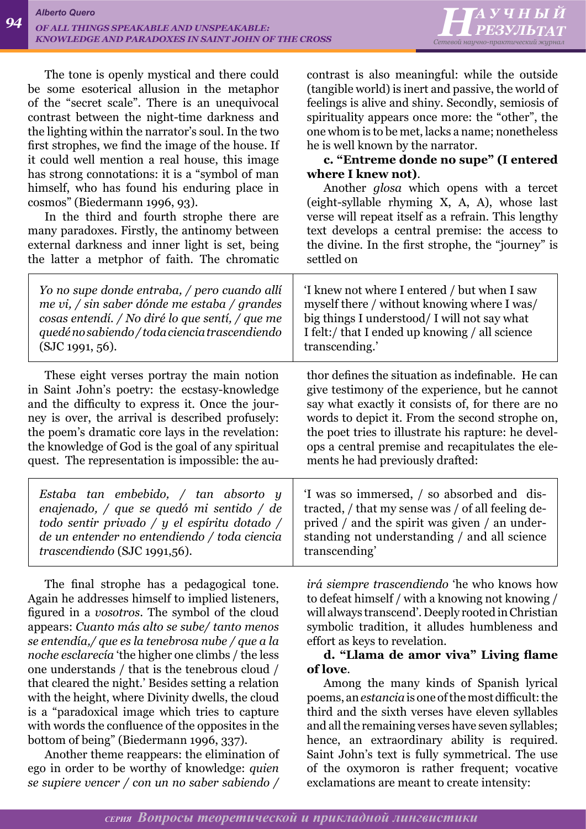that cleared the night.' Besides setting a relation with the height, where Divinity dwells, the cloud is a "paradoxical image which tries to capture with words the confluence of the opposites in the

Another theme reappears: the elimination of ego in order to be worthy of knowledge: *quien se supiere vencer / con un no saber sabiendo /* 

bottom of being" (Biedermann 1996, 337).



| The tone is openly mystical and there could            | contrast is also meaningful: while the outside      |
|--------------------------------------------------------|-----------------------------------------------------|
| be some esoterical allusion in the metaphor            | (tangible world) is inert and passive, the world of |
| of the "secret scale". There is an unequivocal         | feelings is alive and shiny. Secondly, semiosis of  |
| contrast between the night-time darkness and           | spirituality appears once more: the "other", the    |
| the lighting within the narrator's soul. In the two    | one whom is to be met, lacks a name; nonetheless    |
| first strophes, we find the image of the house. If     | he is well known by the narrator.                   |
| it could well mention a real house, this image         | c. "Entreme donde no supe" (I entered               |
| has strong connotations: it is a "symbol of man        | where I knew not).                                  |
| himself, who has found his enduring place in           | Another <i>glosa</i> which opens with a tercet      |
| cosmos" (Biedermann 1996, 93).                         | (eight-syllable rhyming X, A, A), whose last        |
| In the third and fourth strophe there are              | verse will repeat itself as a refrain. This lengthy |
| many paradoxes. Firstly, the antinomy between          | text develops a central premise: the access to      |
| external darkness and inner light is set, being        | the divine. In the first strophe, the "journey" is  |
| the latter a metphor of faith. The chromatic           | settled on                                          |
| Yo no supe donde entraba, / pero cuando allí           | 'I knew not where I entered / but when I saw        |
| me vi, / sin saber dónde me estaba / grandes           | myself there / without knowing where I was/         |
| cosas entendí. / No diré lo que sentí, / que me        | big things I understood/ I will not say what        |
| quedé no sabiendo / toda ciencia trascendiendo         | I felt:/ that I ended up knowing / all science      |
| $(SJC 1991, 56)$ .                                     | transcending.'                                      |
| These eight verses portray the main notion             | thor defines the situation as indefinable. He can   |
| in Saint John's poetry: the ecstasy-knowledge          | give testimony of the experience, but he cannot     |
| and the difficulty to express it. Once the jour-       | say what exactly it consists of, for there are no   |
| ney is over, the arrival is described profusely:       | words to depict it. From the second strophe on,     |
| the poem's dramatic core lays in the revelation:       | the poet tries to illustrate his rapture: he devel- |
| the knowledge of God is the goal of any spiritual      | ops a central premise and recapitulates the ele-    |
| quest. The representation is impossible: the au-       | ments he had previously drafted:                    |
| Estaba tan embebido, / tan absorto y                   | 'I was so immersed, / so absorbed and dis-          |
| enajenado, / que se quedó mi sentido / de              | tracted, / that my sense was / of all feeling de-   |
| todo sentir privado / y el espíritu dotado /           | prived / and the spirit was given / an under-       |
| de un entender no entendiendo / toda ciencia           | standing not understanding / and all science        |
| trascendiendo (SJC 1991,56).                           | transcending'                                       |
| The final strophe has a pedagogical tone.              | <i>irá siempre trascendiendo</i> 'he who knows how  |
| Again he addresses himself to implied listeners,       | to defeat himself / with a knowing not knowing /    |
| figured in a <i>vosotros</i> . The symbol of the cloud | will always transcend'. Deeply rooted in Christian  |
| appears: Cuanto más alto se sube/ tanto menos          | symbolic tradition, it alludes humbleness and       |
| se entendía,/ que es la tenebrosa nube / que a la      | effort as keys to revelation.                       |
| noche esclarecía 'the higher one climbs / the less     | d. "Llama de amor viva" Living flame                |
| one understands / that is the tenebrous cloud /        | of love.                                            |

Among the many kinds of Spanish lyrical poems, an *estancia* is one of the most difficult: the third and the sixth verses have eleven syllables and all the remaining verses have seven syllables; hence, an extraordinary ability is required. Saint John's text is fully symmetrical. The use of the oxymoron is rather frequent; vocative exclamations are meant to create intensity:

*СЕРИЯ Вопросы теоретической и прикладной лингвистики*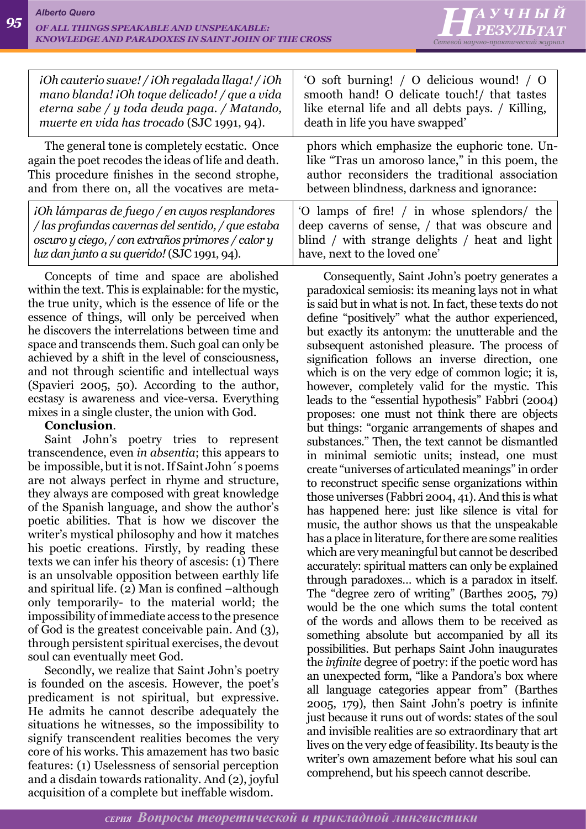

*¡Oh cauterio suave! / ¡Oh regalada llaga! / ¡Oh mano blanda! ¡Oh toque delicado! / que a vida eterna sabe / y toda deuda paga. / Matando, muerte en vida has trocado* (SJC 1991, 94).

The general tone is completely ecstatic. Once again the poet recodes the ideas of life and death. This procedure finishes in the second strophe, and from there on, all the vocatives are meta-

*¡Oh lámparas de fuego / en cuyos resplandores / las profundas cavernas del sentido, / que estaba oscuro y ciego, / con extraños primores / calor y luz dan junto a su querido!* (SJC 1991, 94).

Concepts of time and space are abolished within the text. This is explainable: for the mystic, the true unity, which is the essence of life or the essence of things, will only be perceived when he discovers the interrelations between time and space and transcends them. Such goal can only be achieved by a shift in the level of consciousness, and not through scientific and intellectual ways (Spavieri 2005, 50). According to the author, ecstasy is awareness and vice-versa. Everything mixes in a single cluster, the union with God.

#### **Conclusion**.

Saint John's poetry tries to represent transcendence, even *in absentia*; this appears to be impossible, but it is not. If Saint John´s poems are not always perfect in rhyme and structure, they always are composed with great knowledge of the Spanish language, and show the author's poetic abilities. That is how we discover the writer's mystical philosophy and how it matches his poetic creations. Firstly, by reading these texts we can infer his theory of ascesis: (1) There is an unsolvable opposition between earthly life and spiritual life. (2) Man is confined –although only temporarily- to the material world; the impossibility of immediate access to the presence of God is the greatest conceivable pain. And (3), through persistent spiritual exercises, the devout soul can eventually meet God.

Secondly, we realize that Saint John's poetry is founded on the ascesis. However, the poet's predicament is not spiritual, but expressive. He admits he cannot describe adequately the situations he witnesses, so the impossibility to signify transcendent realities becomes the very core of his works. This amazement has two basic features: (1) Uselessness of sensorial perception and a disdain towards rationality. And (2), joyful acquisition of a complete but ineffable wisdom.

'O soft burning! / O delicious wound! / O smooth hand! O delicate touch!/ that tastes like eternal life and all debts pays. / Killing, death in life you have swapped'

phors which emphasize the euphoric tone. Unlike "Tras un amoroso lance," in this poem, the author reconsiders the traditional association between blindness, darkness and ignorance:

'O lamps of fire! / in whose splendors/ the deep caverns of sense, / that was obscure and blind / with strange delights / heat and light have, next to the loved one'

Consequently, Saint John's poetry generates a paradoxical semiosis: its meaning lays not in what is said but in what is not. In fact, these texts do not define "positively" what the author experienced, but exactly its antonym: the unutterable and the subsequent astonished pleasure. The process of signification follows an inverse direction, one which is on the very edge of common logic; it is, however, completely valid for the mystic. This leads to the "essential hypothesis" Fabbri (2004) proposes: one must not think there are objects but things: "organic arrangements of shapes and substances." Then, the text cannot be dismantled in minimal semiotic units; instead, one must create "universes of articulated meanings" in order to reconstruct specific sense organizations within those universes (Fabbri 2004, 41). And this is what has happened here: just like silence is vital for music, the author shows us that the unspeakable has a place in literature, for there are some realities which are very meaningful but cannot be described accurately: spiritual matters can only be explained through paradoxes… which is a paradox in itself. The "degree zero of writing" (Barthes 2005, 79) would be the one which sums the total content of the words and allows them to be received as something absolute but accompanied by all its possibilities. But perhaps Saint John inaugurates the *infinite* degree of poetry: if the poetic word has an unexpected form, "like a Pandora's box where all language categories appear from" (Barthes 2005, 179), then Saint John's poetry is infinite just because it runs out of words: states of the soul and invisible realities are so extraordinary that art lives on the very edge of feasibility. Its beauty is the writer's own amazement before what his soul can comprehend, but his speech cannot describe.